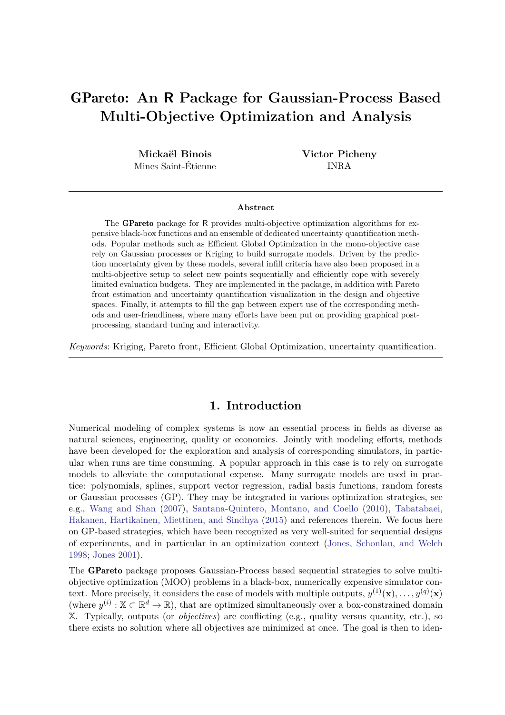# GPareto**: An R Package for Gaussian-Process Based Multi-Objective Optimization and Analysis**

**Mickaël Binois** Mines Saint-Étienne **Victor Picheny** INRA

#### **Abstract**

The GPareto package for R provides multi-objective optimization algorithms for expensive black-box functions and an ensemble of dedicated uncertainty quantification methods. Popular methods such as Efficient Global Optimization in the mono-objective case rely on Gaussian processes or Kriging to build surrogate models. Driven by the prediction uncertainty given by these models, several infill criteria have also been proposed in a multi-objective setup to select new points sequentially and efficiently cope with severely limited evaluation budgets. They are implemented in the package, in addition with Pareto front estimation and uncertainty quantification visualization in the design and objective spaces. Finally, it attempts to fill the gap between expert use of the corresponding methods and user-friendliness, where many efforts have been put on providing graphical postprocessing, standard tuning and interactivity.

*Keywords*: Kriging, Pareto front, Efficient Global Optimization, uncertainty quantification.

# **1. Introduction**

Numerical modeling of complex systems is now an essential process in fields as diverse as natural sciences, engineering, quality or economics. Jointly with modeling efforts, methods have been developed for the exploration and analysis of corresponding simulators, in particular when runs are time consuming. A popular approach in this case is to rely on surrogate models to alleviate the computational expense. Many surrogate models are used in practice: polynomials, splines, support vector regression, radial basis functions, random forests or Gaussian processes (GP). They may be integrated in various optimization strategies, see e.g., [Wang and Shan](#page-24-0) [\(2007\)](#page-24-0), [Santana-Quintero, Montano, and Coello](#page-23-0) [\(2010\)](#page-23-0), [Tabatabaei,](#page-23-1) [Hakanen, Hartikainen, Miettinen, and Sindhya](#page-23-1) [\(2015\)](#page-23-1) and references therein. We focus here on GP-based strategies, which have been recognized as very well-suited for sequential designs of experiments, and in particular in an optimization context [\(Jones, Schonlau, and Welch](#page-22-0) [1998;](#page-22-0) [Jones 2001\)](#page-22-1).

The GPareto package proposes Gaussian-Process based sequential strategies to solve multiobjective optimization (MOO) problems in a black-box, numerically expensive simulator context. More precisely, it considers the case of models with multiple outputs,  $y^{(1)}(\mathbf{x}), \ldots, y^{(q)}(\mathbf{x})$ (where  $y^{(i)}$ :  $\mathbb{X} \subset \mathbb{R}^d \to \mathbb{R}$ ), that are optimized simultaneously over a box-constrained domain X. Typically, outputs (or *objectives*) are conflicting (e.g., quality versus quantity, etc.), so there exists no solution where all objectives are minimized at once. The goal is then to iden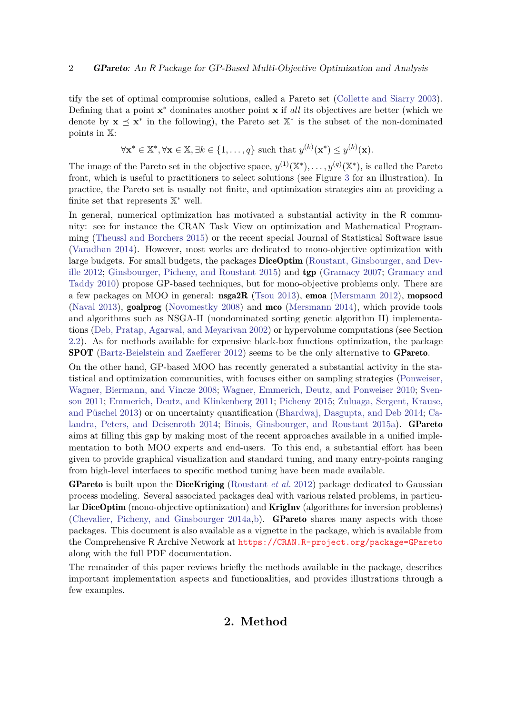tify the set of optimal compromise solutions, called a Pareto set [\(Collette and Siarry 2003\)](#page-21-0). Defining that a point **x**<sup>\*</sup> dominates another point **x** if *all* its objectives are better (which we denote by  $\mathbf{x} \preceq \mathbf{x}^*$  in the following), the Pareto set  $\mathbb{X}^*$  is the subset of the non-dominated points in X:

$$
\forall \mathbf{x}^* \in \mathbb{X}^*, \forall \mathbf{x} \in \mathbb{X}, \exists k \in \{1, \dots, q\} \text{ such that } y^{(k)}(\mathbf{x}^*) \leq y^{(k)}(\mathbf{x}).
$$

The image of the Pareto set in the objective space,  $y^{(1)}(\mathbb{X}^*), \ldots, y^{(q)}(\mathbb{X}^*)$ , is called the Pareto front, which is useful to practitioners to select solutions (see Figure [3](#page-13-0) for an illustration). In practice, the Pareto set is usually not finite, and optimization strategies aim at providing a finite set that represents  $\mathbb{X}^*$  well.

In general, numerical optimization has motivated a substantial activity in the R community: see for instance the CRAN Task View on optimization and Mathematical Programming [\(Theussl and Borchers 2015\)](#page-23-2) or the recent special Journal of Statistical Software issue [\(Varadhan 2014\)](#page-24-1). However, most works are dedicated to mono-objective optimization with large budgets. For small budgets, the packages **DiceOptim** [\(Roustant, Ginsbourger, and Dev](#page-23-3)[ille 2012;](#page-23-3) [Ginsbourger, Picheny, and Roustant 2015\)](#page-21-1) and tgp [\(Gramacy 2007;](#page-21-2) [Gramacy and](#page-22-2) [Taddy 2010\)](#page-22-2) propose GP-based techniques, but for mono-objective problems only. There are a few packages on MOO in general: nsga2R [\(Tsou 2013\)](#page-23-4), emoa [\(Mersmann 2012\)](#page-22-3), mopsocd [\(Naval 2013\)](#page-22-4), goalprog [\(Novomestky 2008\)](#page-23-5) and mco [\(Mersmann 2014\)](#page-22-5), which provide tools and algorithms such as NSGA-II (nondominated sorting genetic algorithm II) implementations [\(Deb, Pratap, Agarwal, and Meyarivan 2002\)](#page-21-3) or hypervolume computations (see Section [2.2\)](#page-3-0). As for methods available for expensive black-box functions optimization, the package SPOT [\(Bartz-Beielstein and Zaefferer 2012\)](#page-20-0) seems to be the only alternative to GPareto.

On the other hand, GP-based MOO has recently generated a substantial activity in the statistical and optimization communities, with focuses either on sampling strategies [\(Ponweiser,](#page-23-6) [Wagner, Biermann, and Vincze 2008;](#page-23-6) [Wagner, Emmerich, Deutz, and Ponweiser 2010;](#page-24-2) [Sven](#page-23-7)[son 2011;](#page-23-7) [Emmerich, Deutz, and Klinkenberg 2011;](#page-21-4) [Picheny 2015;](#page-23-8) [Zuluaga, Sergent, Krause,](#page-24-3) [and Püschel 2013\)](#page-24-3) or on uncertainty quantification [\(Bhardwaj, Dasgupta, and Deb 2014;](#page-20-1) [Ca](#page-20-2)[landra, Peters, and Deisenroth 2014;](#page-20-2) [Binois, Ginsbourger, and Roustant 2015a\)](#page-20-3). **GPareto** aims at filling this gap by making most of the recent approaches available in a unified implementation to both MOO experts and end-users. To this end, a substantial effort has been given to provide graphical visualization and standard tuning, and many entry-points ranging from high-level interfaces to specific method tuning have been made available.

GPareto is built upon the DiceKriging [\(Roustant](#page-23-3) *et al.* [2012\)](#page-23-3) package dedicated to Gaussian process modeling. Several associated packages deal with various related problems, in particular DiceOptim (mono-objective optimization) and KrigInv (algorithms for inversion problems) [\(Chevalier, Picheny, and Ginsbourger 2014a](#page-20-4)[,b\)](#page-21-5). GPareto shares many aspects with those packages. This document is also available as a vignette in the package, which is available from the Comprehensive R Archive Network at <https://CRAN.R-project.org/package=GPareto> along with the full PDF documentation.

The remainder of this paper reviews briefly the methods available in the package, describes important implementation aspects and functionalities, and provides illustrations through a few examples.

# **2. Method**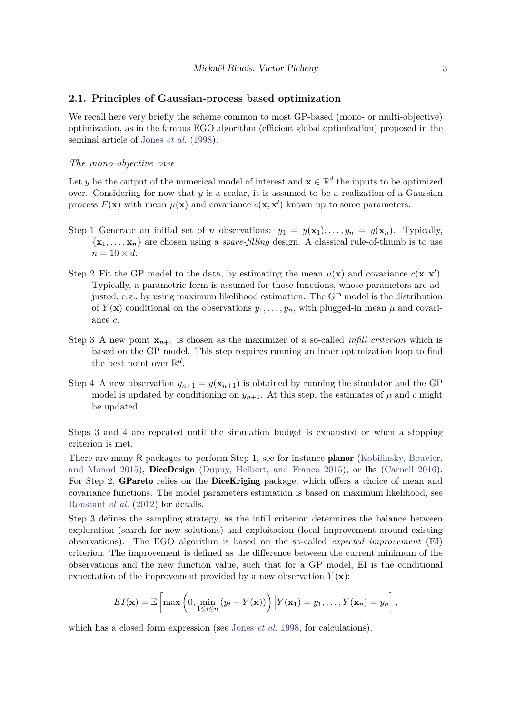#### <span id="page-2-0"></span>**2.1. Principles of Gaussian-process based optimization**

We recall here very briefly the scheme common to most GP-based (mono- or multi-objective) optimization, as in the famous EGO algorithm (efficient global optimization) proposed in the seminal article of [Jones](#page-22-0) *et al.* [\(1998\)](#page-22-0).

#### *The mono-objective case*

Let *y* be the output of the numerical model of interest and  $\mathbf{x} \in \mathbb{R}^d$  the inputs to be optimized over. Considering for now that *y* is a scalar, it is assumed to be a realization of a Gaussian process  $F(\mathbf{x})$  with mean  $\mu(\mathbf{x})$  and covariance  $c(\mathbf{x}, \mathbf{x}')$  known up to some parameters.

- Step 1 Generate an initial set of *n* observations:  $y_1 = y(\mathbf{x}_1), \ldots, y_n = y(\mathbf{x}_n)$ . Typically,  $\{\mathbf x_1, \dots, \mathbf x_n\}$  are chosen using a *space-filling* design. A classical rule-of-thumb is to use  $n = 10 \times d$ .
- Step 2 Fit the GP model to the data, by estimating the mean  $\mu(\mathbf{x})$  and covariance  $c(\mathbf{x}, \mathbf{x}')$ . Typically, a parametric form is assumed for those functions, whose parameters are adjusted, e.g., by using maximum likelihood estimation. The GP model is the distribution of  $Y(\mathbf{x})$  conditional on the observations  $y_1, \ldots, y_n$ , with plugged-in mean  $\mu$  and covariance *c*.
- Step 3 A new point  $\mathbf{x}_{n+1}$  is chosen as the maximizer of a so-called *infill criterion* which is based on the GP model. This step requires running an inner optimization loop to find the best point over  $\mathbb{R}^d$ .
- Step 4 A new observation  $y_{n+1} = y(\mathbf{x}_{n+1})$  is obtained by running the simulator and the GP model is updated by conditioning on  $y_{n+1}$ . At this step, the estimates of  $\mu$  and  $c$  might be updated.

Steps 3 and 4 are repeated until the simulation budget is exhausted or when a stopping criterion is met.

There are many R packages to perform Step 1, see for instance **planor** [\(Kobilinsky, Bouvier,](#page-22-6) [and Monod 2015\)](#page-22-6), DiceDesign [\(Dupuy, Helbert, and Franco 2015\)](#page-21-6), or lhs [\(Carnell 2016\)](#page-20-5). For Step 2, GPareto relies on the DiceKriging package, which offers a choice of mean and covariance functions. The model parameters estimation is based on maximum likelihood, see [Roustant](#page-23-3) *et al.* [\(2012\)](#page-23-3) for details.

Step 3 defines the sampling strategy, as the infill criterion determines the balance between exploration (search for new solutions) and exploitation (local improvement around existing observations). The EGO algorithm is based on the so-called *expected improvement* (EI) criterion. The improvement is defined as the difference between the current minimum of the observations and the new function value, such that for a GP model, EI is the conditional expectation of the improvement provided by a new observation  $Y(\mathbf{x})$ :

$$
EI(\mathbf{x}) = \mathbb{E}\left[\max\left(0, \min_{1 \leq i \leq n} (y_i - Y(\mathbf{x}))\right) \big| Y(\mathbf{x}_1) = y_1, \dots, Y(\mathbf{x}_n) = y_n\right],
$$

which has a closed form expression (see [Jones](#page-22-0) *et al.* [1998,](#page-22-0) for calculations).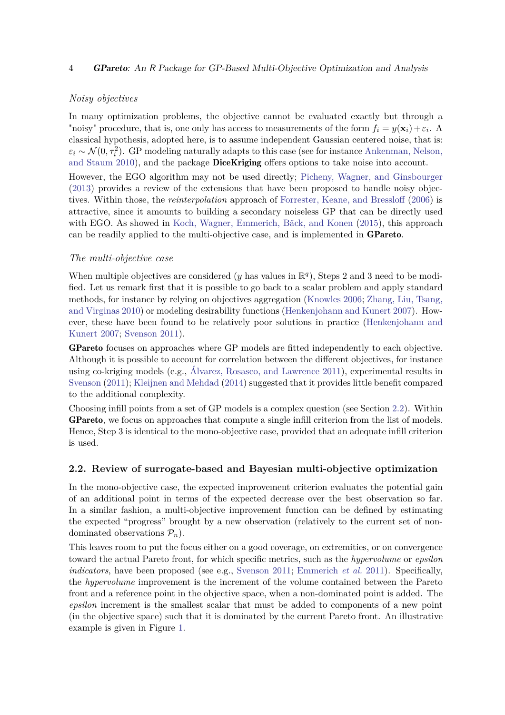## 4 GPareto: An R Package for GP-Based Multi-Objective Optimization and Analysis

## *Noisy objectives*

In many optimization problems, the objective cannot be evaluated exactly but through a "noisy" procedure, that is, one only has access to measurements of the form  $f_i = y(\mathbf{x}_i) + \varepsilon_i$ . A classical hypothesis, adopted here, is to assume independent Gaussian centered noise, that is:  $\varepsilon_i \sim \mathcal{N}(0, \tau_i^2)$ . GP modeling naturally adapts to this case (see for instance [Ankenman, Nelson,](#page-20-6) [and Staum 2010\)](#page-20-6), and the package **DiceKriging** offers options to take noise into account.

However, the EGO algorithm may not be used directly; [Picheny, Wagner, and Ginsbourger](#page-23-9) [\(2013\)](#page-23-9) provides a review of the extensions that have been proposed to handle noisy objectives. Within those, the *reinterpolation* approach of [Forrester, Keane, and Bressloff](#page-21-7) [\(2006\)](#page-21-7) is attractive, since it amounts to building a secondary noiseless GP that can be directly used with EGO. As showed in [Koch, Wagner, Emmerich, Bäck, and Konen](#page-22-7) [\(2015\)](#page-22-7), this approach can be readily applied to the multi-objective case, and is implemented in GPareto.

## *The multi-objective case*

When multiple objectives are considered ( $y$  has values in  $\mathbb{R}^{q}$ ), Steps 2 and 3 need to be modified. Let us remark first that it is possible to go back to a scalar problem and apply standard methods, for instance by relying on objectives aggregation [\(Knowles 2006;](#page-22-8) [Zhang, Liu, Tsang,](#page-24-4) [and Virginas 2010\)](#page-24-4) or modeling desirability functions [\(Henkenjohann and Kunert 2007\)](#page-22-9). However, these have been found to be relatively poor solutions in practice [\(Henkenjohann and](#page-22-9) [Kunert 2007;](#page-22-9) [Svenson 2011\)](#page-23-7).

GPareto focuses on approaches where GP models are fitted independently to each objective. Although it is possible to account for correlation between the different objectives, for instance using co-kriging models (e.g., [Álvarez, Rosasco, and Lawrence 2011\)](#page-20-7), experimental results in [Svenson](#page-23-7) [\(2011\)](#page-23-7); [Kleijnen and Mehdad](#page-22-10) [\(2014\)](#page-22-10) suggested that it provides little benefit compared to the additional complexity.

Choosing infill points from a set of GP models is a complex question (see Section [2.2\)](#page-3-0). Within GPareto, we focus on approaches that compute a single infill criterion from the list of models. Hence, Step 3 is identical to the mono-objective case, provided that an adequate infill criterion is used.

## <span id="page-3-0"></span>**2.2. Review of surrogate-based and Bayesian multi-objective optimization**

In the mono-objective case, the expected improvement criterion evaluates the potential gain of an additional point in terms of the expected decrease over the best observation so far. In a similar fashion, a multi-objective improvement function can be defined by estimating the expected "progress" brought by a new observation (relatively to the current set of nondominated observations  $P_n$ ).

This leaves room to put the focus either on a good coverage, on extremities, or on convergence toward the actual Pareto front, for which specific metrics, such as the *hypervolume* or *epsilon indicators*, have been proposed (see e.g., [Svenson 2011;](#page-23-7) [Emmerich](#page-21-4) *et al.* [2011\)](#page-21-4). Specifically, the *hypervolume* improvement is the increment of the volume contained between the Pareto front and a reference point in the objective space, when a non-dominated point is added. The *epsilon* increment is the smallest scalar that must be added to components of a new point (in the objective space) such that it is dominated by the current Pareto front. An illustrative example is given in Figure [1.](#page-4-0)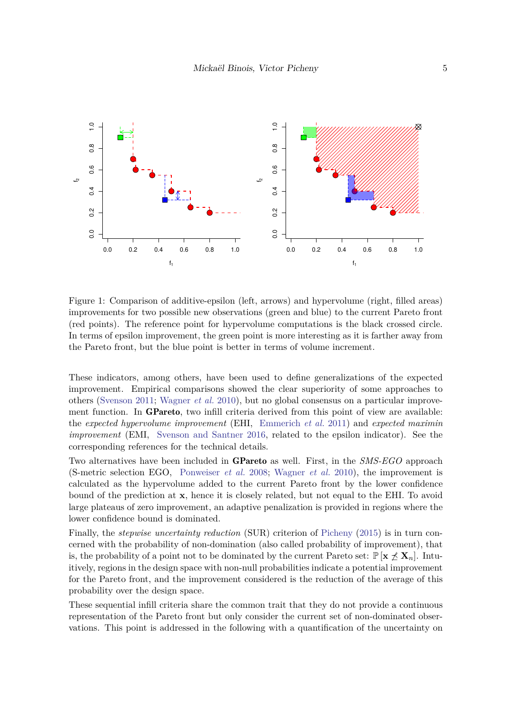<span id="page-4-0"></span>

Figure 1: Comparison of additive-epsilon (left, arrows) and hypervolume (right, filled areas) improvements for two possible new observations (green and blue) to the current Pareto front (red points). The reference point for hypervolume computations is the black crossed circle. In terms of epsilon improvement, the green point is more interesting as it is farther away from the Pareto front, but the blue point is better in terms of volume increment.

These indicators, among others, have been used to define generalizations of the expected improvement. Empirical comparisons showed the clear superiority of some approaches to others [\(Svenson 2011;](#page-23-7) [Wagner](#page-24-2) *et al.* [2010\)](#page-24-2), but no global consensus on a particular improvement function. In GPareto, two infill criteria derived from this point of view are available: the *expected hypervolume improvement* (EHI, [Emmerich](#page-21-4) *et al.* [2011\)](#page-21-4) and *expected maximin improvement* (EMI, [Svenson and Santner 2016,](#page-23-10) related to the epsilon indicator). See the corresponding references for the technical details.

Two alternatives have been included in GPareto as well. First, in the *SMS-EGO* approach (S-metric selection EGO, [Ponweiser](#page-23-6) *et al.* [2008;](#page-23-6) [Wagner](#page-24-2) *et al.* [2010\)](#page-24-2), the improvement is calculated as the hypervolume added to the current Pareto front by the lower confidence bound of the prediction at **x**, hence it is closely related, but not equal to the EHI. To avoid large plateaus of zero improvement, an adaptive penalization is provided in regions where the lower confidence bound is dominated.

Finally, the *stepwise uncertainty reduction* (SUR) criterion of [Picheny](#page-23-8) [\(2015\)](#page-23-8) is in turn concerned with the probability of non-domination (also called probability of improvement), that is, the probability of a point not to be dominated by the current Pareto set:  $\mathbb{P}[\mathbf{x} \nleq \mathbf{X}_n]$ . Intuitively, regions in the design space with non-null probabilities indicate a potential improvement for the Pareto front, and the improvement considered is the reduction of the average of this probability over the design space.

These sequential infill criteria share the common trait that they do not provide a continuous representation of the Pareto front but only consider the current set of non-dominated observations. This point is addressed in the following with a quantification of the uncertainty on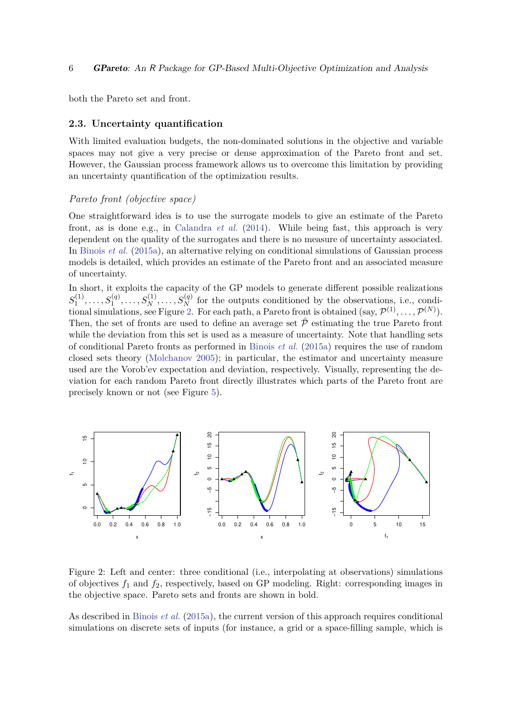both the Pareto set and front.

## **2.3. Uncertainty quantification**

With limited evaluation budgets, the non-dominated solutions in the objective and variable spaces may not give a very precise or dense approximation of the Pareto front and set. However, the Gaussian process framework allows us to overcome this limitation by providing an uncertainty quantification of the optimization results.

#### *Pareto front (objective space)*

One straightforward idea is to use the surrogate models to give an estimate of the Pareto front, as is done e.g., in [Calandra](#page-20-2) *et al.* [\(2014\)](#page-20-2). While being fast, this approach is very dependent on the quality of the surrogates and there is no measure of uncertainty associated. In [Binois](#page-20-3) *et al.* [\(2015a\)](#page-20-3), an alternative relying on conditional simulations of Gaussian process models is detailed, which provides an estimate of the Pareto front and an associated measure of uncertainty.

In short, it exploits the capacity of the GP models to generate different possible realizations  $S_1^{(1)}$  $S_1^{(1)}, \ldots, S_1^{(q)}, \ldots, S_N^{(1)}, \ldots, S_N^{(q)}$  for the outputs conditioned by the observations, i.e., condi-tional simulations, see Figure [2.](#page-5-0) For each path, a Pareto front is obtained  $(say, \mathcal{P}^{(1)}, \ldots, \mathcal{P}^{(N)})$ . Then, the set of fronts are used to define an average set  $\bar{\mathcal{P}}$  estimating the true Pareto front while the deviation from this set is used as a measure of uncertainty. Note that handling sets of conditional Pareto fronts as performed in [Binois](#page-20-3) *et al.* [\(2015a\)](#page-20-3) requires the use of random closed sets theory [\(Molchanov 2005\)](#page-22-11); in particular, the estimator and uncertainty measure used are the Vorob'ev expectation and deviation, respectively. Visually, representing the deviation for each random Pareto front directly illustrates which parts of the Pareto front are precisely known or not (see Figure [5\)](#page-15-0).

<span id="page-5-0"></span>

Figure 2: Left and center: three conditional (i.e., interpolating at observations) simulations of objectives  $f_1$  and  $f_2$ , respectively, based on GP modeling. Right: corresponding images in the objective space. Pareto sets and fronts are shown in bold.

As described in [Binois](#page-20-3) *et al.* [\(2015a\)](#page-20-3), the current version of this approach requires conditional simulations on discrete sets of inputs (for instance, a grid or a space-filling sample, which is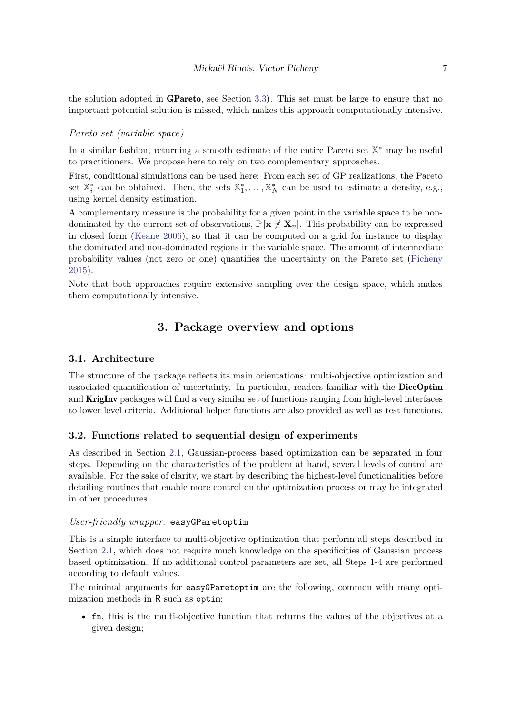the solution adopted in GPareto, see Section [3.3\)](#page-9-0). This set must be large to ensure that no important potential solution is missed, which makes this approach computationally intensive.

## *Pareto set (variable space)*

In a similar fashion, returning a smooth estimate of the entire Pareto set  $\mathbb{X}^*$  may be useful to practitioners. We propose here to rely on two complementary approaches.

First, conditional simulations can be used here: From each set of GP realizations, the Pareto set  $\mathbb{X}_i^*$  can be obtained. Then, the sets  $\mathbb{X}_1^*, \ldots, \mathbb{X}_N^*$  can be used to estimate a density, e.g., using kernel density estimation.

A complementary measure is the probability for a given point in the variable space to be nondominated by the current set of observations,  $\mathbb{P}[\mathbf{x} \nleq \mathbf{X}_n]$ . This probability can be expressed in closed form [\(Keane 2006\)](#page-22-12), so that it can be computed on a grid for instance to display the dominated and non-dominated regions in the variable space. The amount of intermediate probability values (not zero or one) quantifies the uncertainty on the Pareto set [\(Picheny](#page-23-8) [2015\)](#page-23-8).

Note that both approaches require extensive sampling over the design space, which makes them computationally intensive.

# **3. Package overview and options**

# **3.1. Architecture**

The structure of the package reflects its main orientations: multi-objective optimization and associated quantification of uncertainty. In particular, readers familiar with the DiceOptim and **KrigInv** packages will find a very similar set of functions ranging from high-level interfaces to lower level criteria. Additional helper functions are also provided as well as test functions.

#### **3.2. Functions related to sequential design of experiments**

As described in Section [2.1,](#page-2-0) Gaussian-process based optimization can be separated in four steps. Depending on the characteristics of the problem at hand, several levels of control are available. For the sake of clarity, we start by describing the highest-level functionalities before detailing routines that enable more control on the optimization process or may be integrated in other procedures.

#### *User-friendly wrapper:* easyGParetoptim

This is a simple interface to multi-objective optimization that perform all steps described in Section [2.1,](#page-2-0) which does not require much knowledge on the specificities of Gaussian process based optimization. If no additional control parameters are set, all Steps 1-4 are performed according to default values.

The minimal arguments for easyGParetoptim are the following, common with many optimization methods in R such as optim:

• fn, this is the multi-objective function that returns the values of the objectives at a given design;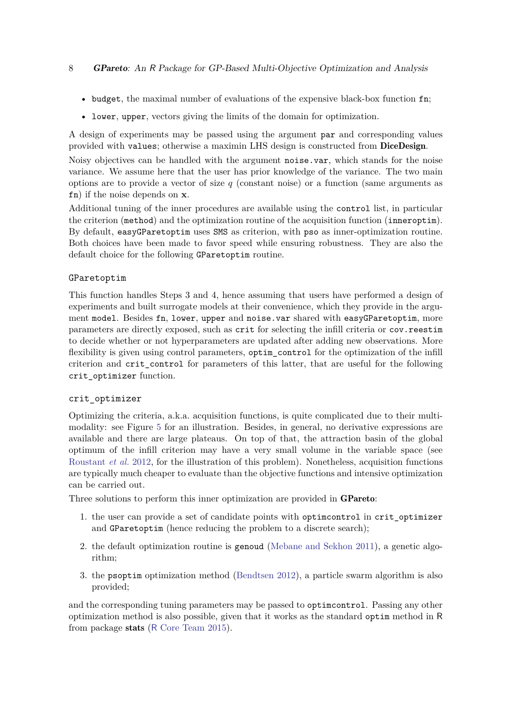- budget, the maximal number of evaluations of the expensive black-box function fn;
- lower, upper, vectors giving the limits of the domain for optimization.

A design of experiments may be passed using the argument par and corresponding values provided with values; otherwise a maximin LHS design is constructed from DiceDesign.

Noisy objectives can be handled with the argument noise.var, which stands for the noise variance. We assume here that the user has prior knowledge of the variance. The two main options are to provide a vector of size *q* (constant noise) or a function (same arguments as fn) if the noise depends on **x**.

Additional tuning of the inner procedures are available using the control list, in particular the criterion (method) and the optimization routine of the acquisition function (inneroptim). By default, easyGParetoptim uses SMS as criterion, with pso as inner-optimization routine. Both choices have been made to favor speed while ensuring robustness. They are also the default choice for the following GParetoptim routine.

## GParetoptim

This function handles Steps 3 and 4, hence assuming that users have performed a design of experiments and built surrogate models at their convenience, which they provide in the argument model. Besides fn, lower, upper and noise.var shared with easyGParetoptim, more parameters are directly exposed, such as crit for selecting the infill criteria or cov.reestim to decide whether or not hyperparameters are updated after adding new observations. More flexibility is given using control parameters, optim control for the optimization of the infill criterion and crit\_control for parameters of this latter, that are useful for the following crit\_optimizer function.

## crit\_optimizer

Optimizing the criteria, a.k.a. acquisition functions, is quite complicated due to their multimodality: see Figure [5](#page-15-0) for an illustration. Besides, in general, no derivative expressions are available and there are large plateaus. On top of that, the attraction basin of the global optimum of the infill criterion may have a very small volume in the variable space (see [Roustant](#page-23-3) *et al.* [2012,](#page-23-3) for the illustration of this problem). Nonetheless, acquisition functions are typically much cheaper to evaluate than the objective functions and intensive optimization can be carried out.

Three solutions to perform this inner optimization are provided in GPareto:

- 1. the user can provide a set of candidate points with optimization in crit optimizer and GParetoptim (hence reducing the problem to a discrete search);
- 2. the default optimization routine is genoud [\(Mebane and Sekhon 2011\)](#page-22-13), a genetic algorithm;
- 3. the psoptim optimization method [\(Bendtsen 2012\)](#page-20-8), a particle swarm algorithm is also provided;

and the corresponding tuning parameters may be passed to optimcontrol. Passing any other optimization method is also possible, given that it works as the standard optim method in R from package stats (R [Core Team 2015\)](#page-23-11).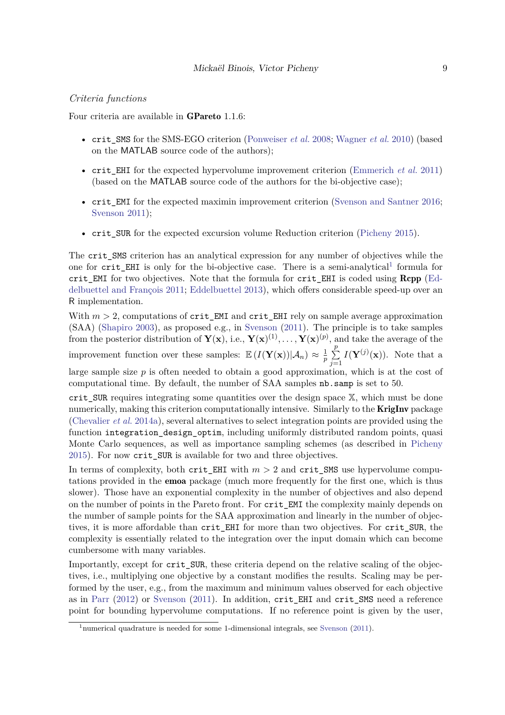## <span id="page-8-1"></span>*Criteria functions*

Four criteria are available in GPareto 1.1.6:

- crit\_SMS for the SMS-EGO criterion [\(Ponweiser](#page-23-6) *et al.* [2008;](#page-23-6) [Wagner](#page-24-2) *et al.* [2010\)](#page-24-2) (based on the MATLAB source code of the authors);
- crit EHI for the expected hypervolume improvement criterion [\(Emmerich](#page-21-4) *et al.* [2011\)](#page-21-4) (based on the MATLAB source code of the authors for the bi-objective case);
- crit EMI for the expected maximin improvement criterion [\(Svenson and Santner 2016;](#page-23-10) [Svenson 2011\)](#page-23-7);
- crit\_SUR for the expected excursion volume Reduction criterion [\(Picheny 2015\)](#page-23-8).

The crit\_SMS criterion has an analytical expression for any number of objectives while the one for crit\_EHI is only for the bi-objective case. There is a semi-analytical<sup>[1](#page-8-0)</sup> formula for crit EMI for two objectives. Note that the formula for crit EHI is coded using  $\mathbf{Rcpp}$  [\(Ed](#page-21-8)[delbuettel and François 2011;](#page-21-8) [Eddelbuettel 2013\)](#page-21-9), which offers considerable speed-up over an R implementation.

With  $m > 2$ , computations of crit\_EMI and crit\_EHI rely on sample average approximation (SAA) [\(Shapiro 2003\)](#page-23-12), as proposed e.g., in [Svenson](#page-23-7) [\(2011\)](#page-23-7). The principle is to take samples from the posterior distribution of  $\mathbf{Y}(\mathbf{x})$ , i.e.,  $\mathbf{Y}(\mathbf{x})^{(1)}$ ,  $\dots$ ,  $\mathbf{Y}(\mathbf{x})^{(p)}$ , and take the average of the improvement function over these samples:  $\mathbb{E} (I(\mathbf{Y}(\mathbf{x}))|\mathcal{A}_n) \approx \frac{1}{n}$  $\frac{1}{p}$   $\sum$ *p j*=1  $I(Y^{(j)}(x))$ . Note that a large sample size *p* is often needed to obtain a good approximation, which is at the cost of computational time. By default, the number of SAA samples nb.samp is set to 50.

crit SUR requires integrating some quantities over the design space X, which must be done numerically, making this criterion computationally intensive. Similarly to the **KrigInv** package [\(Chevalier](#page-20-4) *et al.* [2014a\)](#page-20-4), several alternatives to select integration points are provided using the function integration design optim, including uniformly distributed random points, quasi Monte Carlo sequences, as well as importance sampling schemes (as described in [Picheny](#page-23-8) [2015\)](#page-23-8). For now crit\_SUR is available for two and three objectives.

In terms of complexity, both crit EHI with  $m > 2$  and crit SMS use hypervolume computations provided in the emoa package (much more frequently for the first one, which is thus slower). Those have an exponential complexity in the number of objectives and also depend on the number of points in the Pareto front. For crit\_EMI the complexity mainly depends on the number of sample points for the SAA approximation and linearly in the number of objectives, it is more affordable than crit\_EHI for more than two objectives. For crit\_SUR, the complexity is essentially related to the integration over the input domain which can become cumbersome with many variables.

Importantly, except for crit SUR, these criteria depend on the relative scaling of the objectives, i.e., multiplying one objective by a constant modifies the results. Scaling may be performed by the user, e.g., from the maximum and minimum values observed for each objective as in [Parr](#page-23-13) [\(2012\)](#page-23-13) or [Svenson](#page-23-7) [\(2011\)](#page-23-7). In addition, crit\_EHI and crit\_SMS need a reference point for bounding hypervolume computations. If no reference point is given by the user,

<span id="page-8-0"></span> $1$ numerical quadrature is needed for some 1-dimensional integrals, see [Svenson](#page-23-7) [\(2011\)](#page-23-7).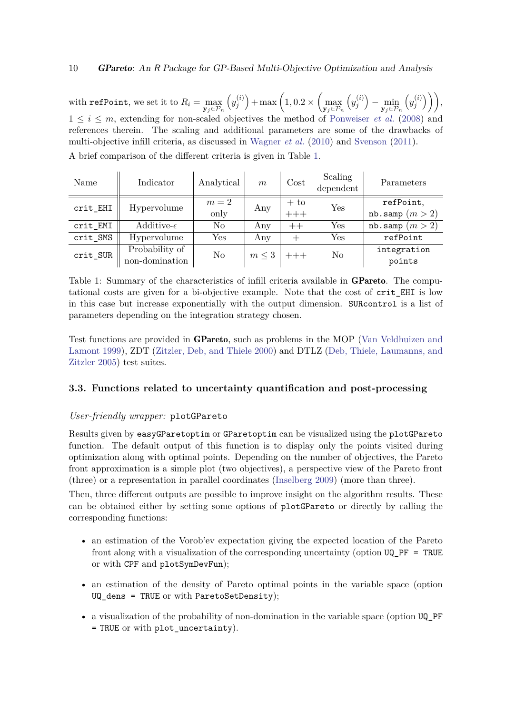with  $\texttt{refPoint}$ , we set it to  $R_i = \max_{\mathbf{y}_j \in \mathcal{P}_n}$  $\left(y_i^{(i)}\right)$  $\binom{(i)}{j}$  + max  $\left(1, 0.2 \times \left(\max_{\mathbf{y}_j \in \mathcal{P}_n} \mathbb{I}\right)\right)$  $\left(y_i^{(i)}\right)$  $\binom{j}{j} - \min_{\mathbf{y}_j \in \mathcal{P}_n}$  $\left(y_i^{(i)}\right)$  $\binom{i}{j}$  ) ),  $1 \leq i \leq m$ , extending for non-scaled objectives the method of [Ponweiser](#page-23-6) *et al.* [\(2008\)](#page-23-6) and references therein. The scaling and additional parameters are some of the drawbacks of multi-objective infill criteria, as discussed in [Wagner](#page-24-2) *et al.* [\(2010\)](#page-24-2) and [Svenson](#page-23-7) [\(2011\)](#page-23-7).

<span id="page-9-1"></span>

| Name         | Indicator            | Analytical | $\boldsymbol{m}$ | $\rm Cost$ | Scaling<br>dependent | Parameters        |
|--------------|----------------------|------------|------------------|------------|----------------------|-------------------|
| $crit$ $EHI$ | Hypervolume          | $m=2$      | Any              | $+$ to     | $\operatorname{Yes}$ | refPoint,         |
|              |                      | only       |                  | $-++$      |                      | nb.samp $(m > 2)$ |
| crit_EMI     | Additive- $\epsilon$ | No         | Any              | $++$       | Yes                  | nb.samp $(m > 2)$ |
| crit_SMS     | Hypervolume          | Yes        | Any              | $^+$       | $\operatorname{Yes}$ | refPoint          |
| crit_SUR     | Probability of       | No         | $m \leq 3$       | $+++$      | N <sub>o</sub>       | integration       |
|              | non-domination       |            |                  |            |                      | points            |

A brief comparison of the different criteria is given in Table [1.](#page-9-1)

Table 1: Summary of the characteristics of infill criteria available in **GPareto**. The computational costs are given for a bi-objective example. Note that the cost of crit\_EHI is low in this case but increase exponentially with the output dimension. SURcontrol is a list of parameters depending on the integration strategy chosen.

Test functions are provided in GPareto, such as problems in the MOP [\(Van Veldhuizen and](#page-24-5) [Lamont 1999\)](#page-24-5), ZDT [\(Zitzler, Deb, and Thiele 2000\)](#page-24-6) and DTLZ [\(Deb, Thiele, Laumanns, and](#page-21-10) [Zitzler 2005\)](#page-21-10) test suites.

# <span id="page-9-0"></span>**3.3. Functions related to uncertainty quantification and post-processing**

# *User-friendly wrapper:* plotGPareto

Results given by easyGParetoptim or GParetoptim can be visualized using the plotGPareto function. The default output of this function is to display only the points visited during optimization along with optimal points. Depending on the number of objectives, the Pareto front approximation is a simple plot (two objectives), a perspective view of the Pareto front (three) or a representation in parallel coordinates [\(Inselberg 2009\)](#page-22-14) (more than three).

Then, three different outputs are possible to improve insight on the algorithm results. These can be obtained either by setting some options of plotGPareto or directly by calling the corresponding functions:

- an estimation of the Vorob'ev expectation giving the expected location of the Pareto front along with a visualization of the corresponding uncertainty (option UQ\_PF = TRUE or with CPF and plotSymDevFun);
- an estimation of the density of Pareto optimal points in the variable space (option UQ\_dens = TRUE or with ParetoSetDensity);
- a visualization of the probability of non-domination in the variable space (option UQ\_PF = TRUE or with plot\_uncertainty).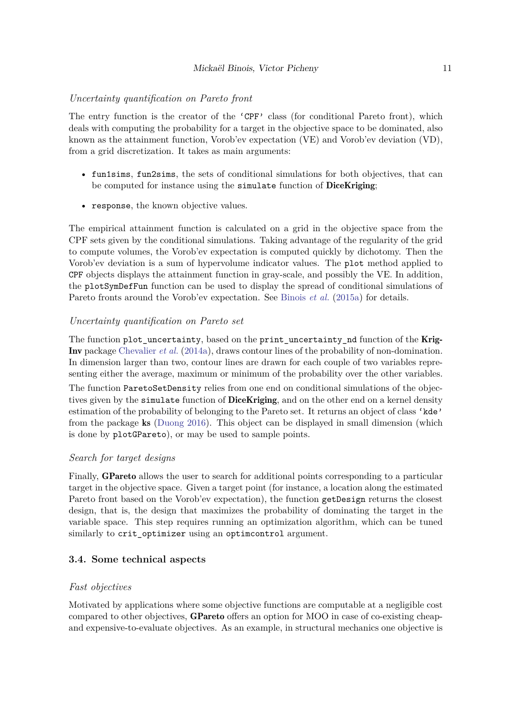## *Uncertainty quantification on Pareto front*

The entry function is the creator of the 'CPF' class (for conditional Pareto front), which deals with computing the probability for a target in the objective space to be dominated, also known as the attainment function, Vorob'ev expectation (VE) and Vorob'ev deviation (VD), from a grid discretization. It takes as main arguments:

- fun1sims, fun2sims, the sets of conditional simulations for both objectives, that can be computed for instance using the simulate function of **DiceKriging**;
- response, the known objective values.

The empirical attainment function is calculated on a grid in the objective space from the CPF sets given by the conditional simulations. Taking advantage of the regularity of the grid to compute volumes, the Vorob'ev expectation is computed quickly by dichotomy. Then the Vorob'ev deviation is a sum of hypervolume indicator values. The plot method applied to CPF objects displays the attainment function in gray-scale, and possibly the VE. In addition, the plotSymDefFun function can be used to display the spread of conditional simulations of Pareto fronts around the Vorob'ev expectation. See [Binois](#page-20-3) *et al.* [\(2015a\)](#page-20-3) for details.

#### *Uncertainty quantification on Pareto set*

The function plot\_uncertainty, based on the print\_uncertainty\_nd function of the Krig-Inv package [Chevalier](#page-20-4) *et al.* [\(2014a\)](#page-20-4), draws contour lines of the probability of non-domination. In dimension larger than two, contour lines are drawn for each couple of two variables representing either the average, maximum or minimum of the probability over the other variables.

The function ParetoSetDensity relies from one end on conditional simulations of the objectives given by the simulate function of **DiceKriging**, and on the other end on a kernel density estimation of the probability of belonging to the Pareto set. It returns an object of class 'kde' from the package ks [\(Duong 2016\)](#page-21-11). This object can be displayed in small dimension (which is done by plotGPareto), or may be used to sample points.

#### *Search for target designs*

Finally, GPareto allows the user to search for additional points corresponding to a particular target in the objective space. Given a target point (for instance, a location along the estimated Pareto front based on the Vorob'ev expectation), the function get Design returns the closest design, that is, the design that maximizes the probability of dominating the target in the variable space. This step requires running an optimization algorithm, which can be tuned similarly to crit\_optimizer using an optimcontrol argument.

#### **3.4. Some technical aspects**

## *Fast objectives*

Motivated by applications where some objective functions are computable at a negligible cost compared to other objectives, GPareto offers an option for MOO in case of co-existing cheapand expensive-to-evaluate objectives. As an example, in structural mechanics one objective is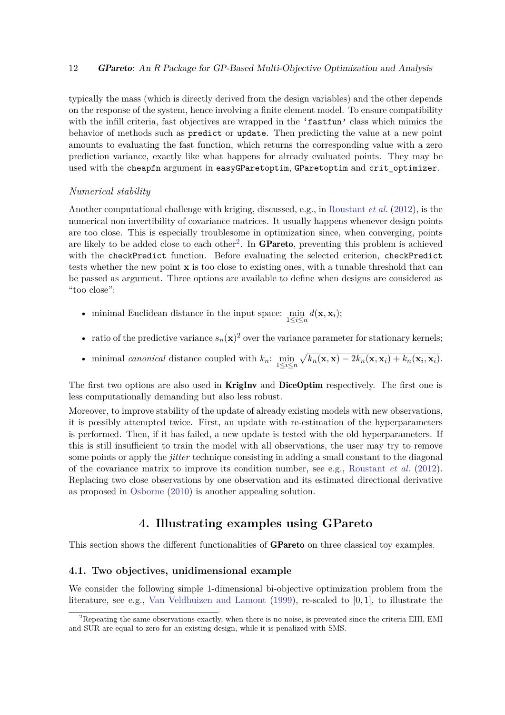typically the mass (which is directly derived from the design variables) and the other depends on the response of the system, hence involving a finite element model. To ensure compatibility with the infill criteria, fast objectives are wrapped in the 'fastfun' class which mimics the behavior of methods such as predict or update. Then predicting the value at a new point amounts to evaluating the fast function, which returns the corresponding value with a zero prediction variance, exactly like what happens for already evaluated points. They may be used with the cheapfn argument in easyGParetoptim, GParetoptim and crit optimizer.

#### *Numerical stability*

Another computational challenge with kriging, discussed, e.g., in [Roustant](#page-23-3) *et al.* [\(2012\)](#page-23-3), is the numerical non invertibility of covariance matrices. It usually happens whenever design points are too close. This is especially troublesome in optimization since, when converging, points are likely to be added close to each other<sup>[2](#page-11-0)</sup>. In **GPareto**, preventing this problem is achieved with the checkPredict function. Before evaluating the selected criterion, checkPredict tests whether the new point **x** is too close to existing ones, with a tunable threshold that can be passed as argument. Three options are available to define when designs are considered as "too close":

- minimal Euclidean distance in the input space:  $\min_{1 \leq i \leq n} d(\mathbf{x}, \mathbf{x}_i);$
- ratio of the predictive variance  $s_n(\mathbf{x})^2$  over the variance parameter for stationary kernels;
- minimal canonical distance coupled with  $k_n$ :  $\min_{1 \leq i \leq n} \sqrt{k_n(\mathbf{x}, \mathbf{x}) 2k_n(\mathbf{x}, \mathbf{x}_i) + k_n(\mathbf{x}_i, \mathbf{x}_i)}$ .

The first two options are also used in **KrigInv** and **DiceOptim** respectively. The first one is less computationally demanding but also less robust.

Moreover, to improve stability of the update of already existing models with new observations, it is possibly attempted twice. First, an update with re-estimation of the hyperparameters is performed. Then, if it has failed, a new update is tested with the old hyperparameters. If this is still insufficient to train the model with all observations, the user may try to remove some points or apply the *jitter* technique consisting in adding a small constant to the diagonal of the covariance matrix to improve its condition number, see e.g., [Roustant](#page-23-3) *et al.* [\(2012\)](#page-23-3). Replacing two close observations by one observation and its estimated directional derivative as proposed in [Osborne](#page-23-14) [\(2010\)](#page-23-14) is another appealing solution.

# **4. Illustrating examples using GPareto**

This section shows the different functionalities of **GPareto** on three classical toy examples.

## **4.1. Two objectives, unidimensional example**

We consider the following simple 1-dimensional bi-objective optimization problem from the literature, see e.g., [Van Veldhuizen and Lamont](#page-24-5) [\(1999\)](#page-24-5), re-scaled to [0*,* 1], to illustrate the

<span id="page-11-0"></span><sup>&</sup>lt;sup>2</sup>Repeating the same observations exactly, when there is no noise, is prevented since the criteria EHI, EMI and SUR are equal to zero for an existing design, while it is penalized with SMS.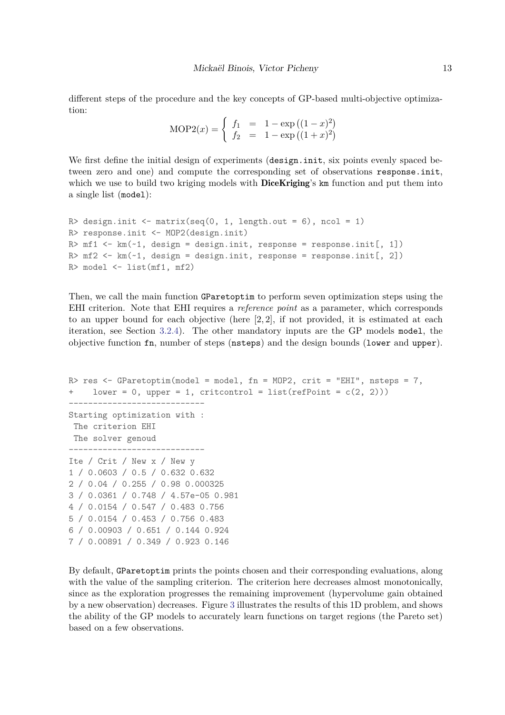different steps of the procedure and the key concepts of GP-based multi-objective optimization:

> $\text{MOP2}(x) = \begin{cases} f_1 = 1 - \exp((1-x)^2) \\ f_1 = 1 - \exp((1+x)^2) \end{cases}$  $f_2 = 1 - \exp((1+x)^2)$

We first define the initial design of experiments (design.init, six points evenly spaced between zero and one) and compute the corresponding set of observations response.init, which we use to build two kriging models with **DiceKriging**'s km function and put them into a single list (model):

```
R> design.init \leq matrix(seq(0, 1, length.out = 6), ncol = 1)
R> response.init <- MOP2(design.init)
R> mf1 <- km(-1, design = design.init, response = response.init[, 1])R> mf2 \leq -km(-1, design = design.init, response = response.init[, 2])R> model <- list(mf1, mf2)
```
Then, we call the main function GParetoptim to perform seven optimization steps using the EHI criterion. Note that EHI requires a *reference point* as a parameter, which corresponds to an upper bound for each objective (here [2*,* 2], if not provided, it is estimated at each iteration, see Section [3.2.4\)](#page-8-1). The other mandatory inputs are the GP models model, the objective function fn, number of steps (nsteps) and the design bounds (lower and upper).

```
R> res <- GParetoptim(model = model, fn = MOP2, crit = "EHI", nsteps = 7,
+ lower = 0, upper = 1, critcontrol = list(refPoint = c(2, 2)))
----------------------------
Starting optimization with :
The criterion EHI
The solver genoud
----------------------------
Ite / Crit / New x / New y
1 / 0.0603 / 0.5 / 0.632 0.632
2 / 0.04 / 0.255 / 0.98 0.000325
3 / 0.0361 / 0.748 / 4.57e-05 0.981
4 / 0.0154 / 0.547 / 0.483 0.756
5 / 0.0154 / 0.453 / 0.756 0.483
6 / 0.00903 / 0.651 / 0.144 0.924
7 / 0.00891 / 0.349 / 0.923 0.146
```
By default, GParetoptim prints the points chosen and their corresponding evaluations, along with the value of the sampling criterion. The criterion here decreases almost monotonically, since as the exploration progresses the remaining improvement (hypervolume gain obtained by a new observation) decreases. Figure [3](#page-13-0) illustrates the results of this 1D problem, and shows the ability of the GP models to accurately learn functions on target regions (the Pareto set) based on a few observations.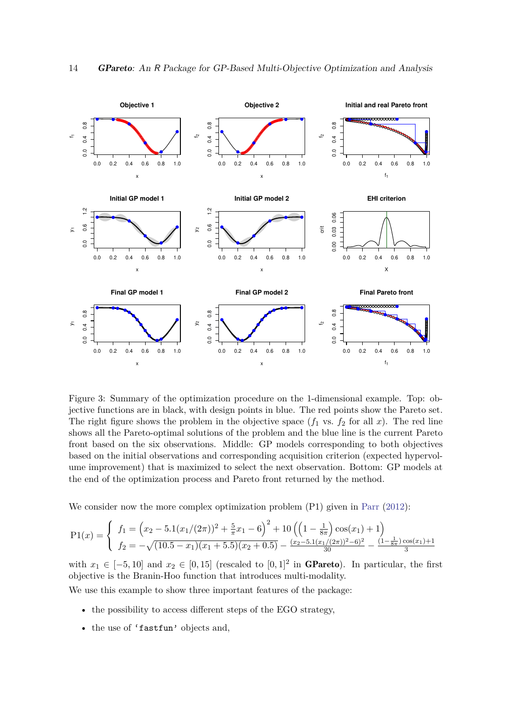<span id="page-13-0"></span>

Figure 3: Summary of the optimization procedure on the 1-dimensional example. Top: objective functions are in black, with design points in blue. The red points show the Pareto set. The right figure shows the problem in the objective space  $(f_1$  vs.  $f_2$  for all  $x$ ). The red line shows all the Pareto-optimal solutions of the problem and the blue line is the current Pareto front based on the six observations. Middle: GP models corresponding to both objectives based on the initial observations and corresponding acquisition criterion (expected hypervolume improvement) that is maximized to select the next observation. Bottom: GP models at the end of the optimization process and Pareto front returned by the method.

We consider now the more complex optimization problem (P1) given in [Parr](#page-23-13) [\(2012\)](#page-23-13):

$$
P1(x) = \begin{cases} f_1 = (x_2 - 5.1(x_1/(2\pi))^2 + \frac{5}{\pi}x_1 - 6)^2 + 10((1 - \frac{1}{8\pi})\cos(x_1) + 1) \\ f_2 = -\sqrt{(10.5 - x_1)(x_1 + 5.5)(x_2 + 0.5)} - \frac{(x_2 - 5.1(x_1/(2\pi))^2 - 6)^2}{30} - \frac{(1 - \frac{1}{8\pi})\cos(x_1) + 1}{3} \end{cases}
$$

with  $x_1 \in [-5, 10]$  and  $x_2 \in [0, 15]$  (rescaled to  $[0, 1]^2$  in **GPareto**). In particular, the first objective is the Branin-Hoo function that introduces multi-modality.

We use this example to show three important features of the package:

- the possibility to access different steps of the EGO strategy.
- the use of 'fastfun' objects and,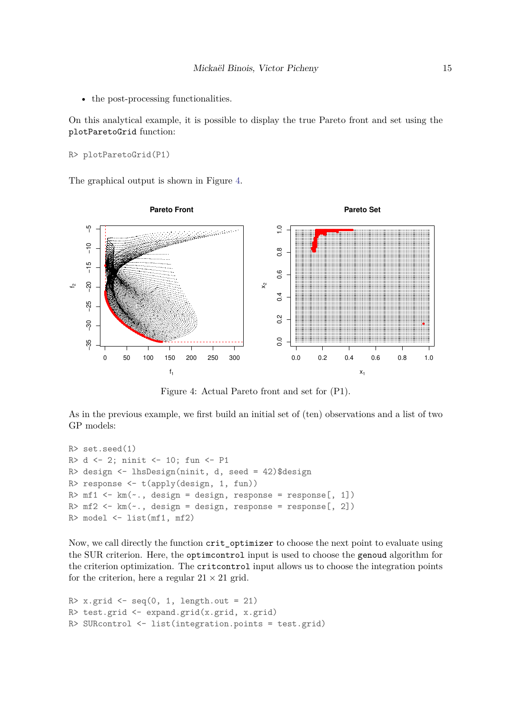• the post-processing functionalities.

On this analytical example, it is possible to display the true Pareto front and set using the plotParetoGrid function:

```
R> plotParetoGrid(P1)
```
<span id="page-14-0"></span>The graphical output is shown in Figure [4.](#page-14-0)



Figure 4: Actual Pareto front and set for (P1).

As in the previous example, we first build an initial set of (ten) observations and a list of two GP models:

```
R> set.seed(1)
R> d <- 2; ninit <- 10; fun <- P1
R> design <- lhsDesign(ninit, d, seed = 42)$design
R> response <- t(apply(design, 1, fun))
R> mf1 <- km (\sim., design = design, response = response [, 1])
R > mf2 < - km(., design = design, response = response[, 2])
R> model <- list(mf1, mf2)
```
Now, we call directly the function crit\_optimizer to choose the next point to evaluate using the SUR criterion. Here, the optimcontrol input is used to choose the genoud algorithm for the criterion optimization. The critcontrol input allows us to choose the integration points for the criterion, here a regular  $21 \times 21$  grid.

```
R > x.grid \leq seq(0, 1, length.out = 21)
R> test.grid <- expand.grid(x.grid, x.grid)
R> SURcontrol <- list(integration.points = test.grid)
```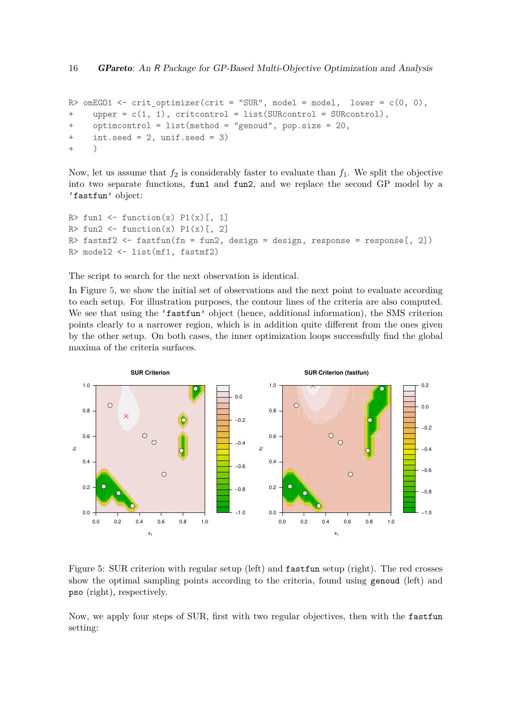```
R> omEG01 <- crit_optimizer(crit = "SUR", model = model, lower = c(0, 0),
+ upper = c(1, 1), critcontrol = list(SURcontrol = SURcontrol),
+ optimcontrol = list(method = "genoud", pop.size = 20,
+ int.seed = 2, unif.seed = 3)
+ )
```
Now, let us assume that  $f_2$  is considerably faster to evaluate than  $f_1$ . We split the objective into two separate functions, fun1 and fun2, and we replace the second GP model by a 'fastfun' object:

```
R> fun1 <- function(x) P1(x)[, 1]R> fun2 <- function(x) P1(x)[, 2]
R> fastmf2 \leftarrow fastfun(fn = fun2, design = design, response = response[, 2])
R> model2 <- list(mf1, fastmf2)
```
The script to search for the next observation is identical.

In Figure [5,](#page-15-0) we show the initial set of observations and the next point to evaluate according to each setup. For illustration purposes, the contour lines of the criteria are also computed. We see that using the 'fastfun' object (hence, additional information), the SMS criterion points clearly to a narrower region, which is in addition quite different from the ones given by the other setup. On both cases, the inner optimization loops successfully find the global maxima of the criteria surfaces.

<span id="page-15-0"></span>

Figure 5: SUR criterion with regular setup (left) and fastfun setup (right). The red crosses show the optimal sampling points according to the criteria, found using genoud (left) and pso (right), respectively.

Now, we apply four steps of SUR, first with two regular objectives, then with the fastfun setting: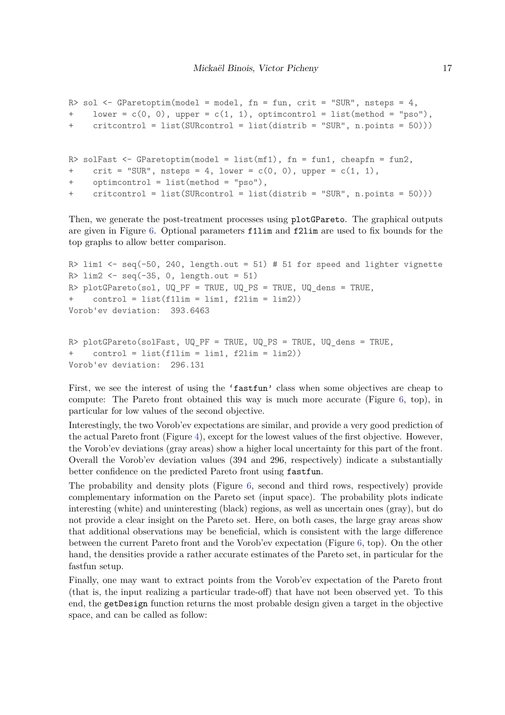```
R> sol <- GParetoptim(model = model, fn = fun, crit = "SUR", nsteps = 4,
+ lower = c(0, 0), upper = c(1, 1), optimcontrol = list(method = "pso"),
+ critcontrol = list(SURcontrol = list(distrib = "SUR", n.points = 50)))
R> solFast <- GParetoptim(model = list(mf1), fn = fun1, cheapfn = fun2,
+ crit = "SUR", nsteps = 4, lower = c(0, 0), upper = c(1, 1),
+ optimcontrol = list(method = "pso"),
+ critcontrol = list(SURcontrol = list(distrib = "SUR", n.points = 50)))
```
Then, we generate the post-treatment processes using plotGPareto. The graphical outputs are given in Figure [6.](#page-17-0) Optional parameters f1lim and f2lim are used to fix bounds for the top graphs to allow better comparison.

```
R> lim1 <- seq(-50, 240, length.out = 51) # 51 for speed and lighter vignette
R > lim2 < -seq(-35, 0, length.out = 51)R> plotGPareto(sol, UQ_PF = TRUE, UQ_PS = TRUE, UQ_dens = TRUE,
     control = list(f1lim = lim1, f2lim = lim2))Vorob'ev deviation: 393.6463
R> plotGPareto(solFast, UQ_PF = TRUE, UQ_PS = TRUE, UQ_dens = TRUE,
```

```
+ control = list(f1lim = lim1, f2lim = lim2))
Vorob'ev deviation: 296.131
```
First, we see the interest of using the 'fastfun' class when some objectives are cheap to compute: The Pareto front obtained this way is much more accurate (Figure [6,](#page-17-0) top), in particular for low values of the second objective.

Interestingly, the two Vorob'ev expectations are similar, and provide a very good prediction of the actual Pareto front (Figure [4\)](#page-14-0), except for the lowest values of the first objective. However, the Vorob'ev deviations (gray areas) show a higher local uncertainty for this part of the front. Overall the Vorob'ev deviation values (394 and 296, respectively) indicate a substantially better confidence on the predicted Pareto front using fastfun.

The probability and density plots (Figure [6,](#page-17-0) second and third rows, respectively) provide complementary information on the Pareto set (input space). The probability plots indicate interesting (white) and uninteresting (black) regions, as well as uncertain ones (gray), but do not provide a clear insight on the Pareto set. Here, on both cases, the large gray areas show that additional observations may be beneficial, which is consistent with the large difference between the current Pareto front and the Vorob'ev expectation (Figure [6,](#page-17-0) top). On the other hand, the densities provide a rather accurate estimates of the Pareto set, in particular for the fastfun setup.

Finally, one may want to extract points from the Vorob'ev expectation of the Pareto front (that is, the input realizing a particular trade-off) that have not been observed yet. To this end, the getDesign function returns the most probable design given a target in the objective space, and can be called as follow: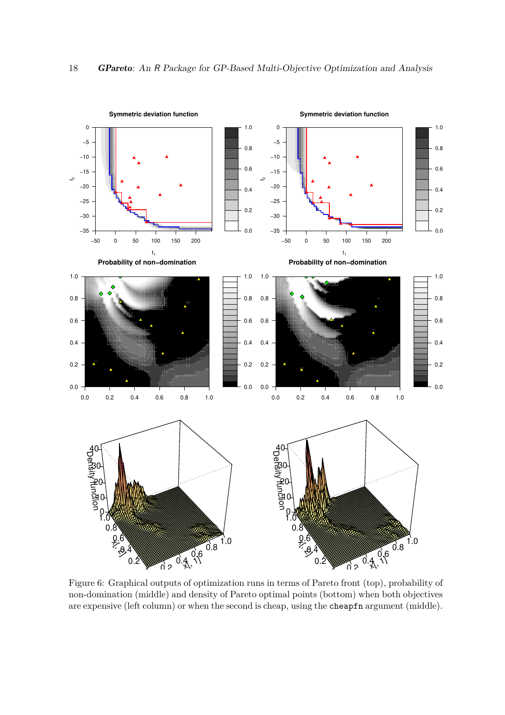<span id="page-17-0"></span>

Figure 6: Graphical outputs of optimization runs in terms of Pareto front (top), probability of non-domination (middle) and density of Pareto optimal points (bottom) when both objectives are expensive (left column) or when the second is cheap, using the cheapfn argument (middle).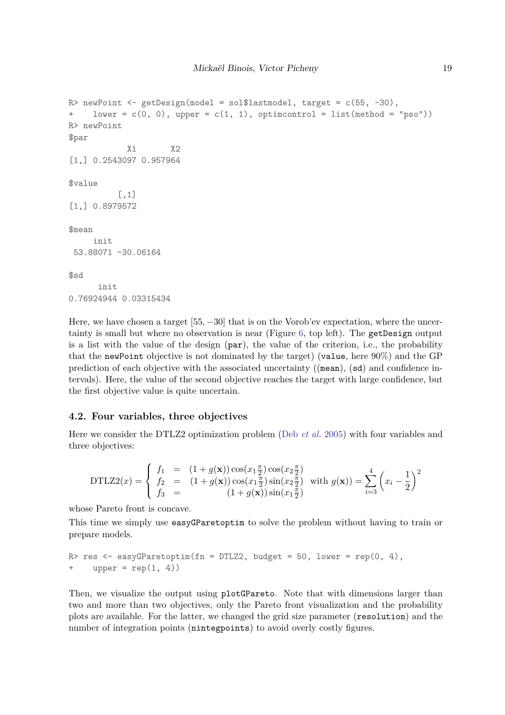```
R> newPoint <- getDesign(model = sol$lastmodel, target = c(55, -30),
+ lower = c(0, 0), upper = c(1, 1), optimcontrol = list(method = "pso"))
R> newPoint
$par
            X1 X2
[1,] 0.2543097 0.957964
$value
          [,1]
[1,] 0.8979572
$mean
     init
 53.88071 -30.06164
$sd
      init
0.76924944 0.03315434
```
Here, we have chosen a target [55*,* −30] that is on the Vorob'ev expectation, where the uncertainty is small but where no observation is near (Figure [6,](#page-17-0) top left). The getDesign output is a list with the value of the design (par), the value of the criterion, i.e., the probability that the newPoint objective is not dominated by the target) (value, here 90%) and the GP prediction of each objective with the associated uncertainty ((mean), (sd) and confidence intervals). Here, the value of the second objective reaches the target with large confidence, but the first objective value is quite uncertain.

#### **4.2. Four variables, three objectives**

Here we consider the DTLZ2 optimization problem (Deb *[et al.](#page-21-10)* [2005\)](#page-21-10) with four variables and three objectives:

DTLZ2(x) = 
$$
\begin{cases} f_1 = (1+g(\mathbf{x}))\cos(x_1\frac{\pi}{2})\cos(x_2\frac{\pi}{2}) \\ f_2 = (1+g(\mathbf{x}))\cos(x_1\frac{\pi}{2})\sin(x_2\frac{\pi}{2}) \\ f_3 = (1+g(\mathbf{x}))\sin(x_1\frac{\pi}{2}) \end{cases}
$$
 with  $g(\mathbf{x})) = \sum_{i=3}^4 (x_i - \frac{1}{2})^2$ 

whose Pareto front is concave.

This time we simply use easyGParetoptim to solve the problem without having to train or prepare models.

```
R> res <- easyGParetoptim(fn = DTLZ2, budget = 50, lower = rep(0, 4),
+ upper = rep(1, 4))
```
Then, we visualize the output using plotGPareto. Note that with dimensions larger than two and more than two objectives, only the Pareto front visualization and the probability plots are available. For the latter, we changed the grid size parameter (resolution) and the number of integration points (nintegpoints) to avoid overly costly figures.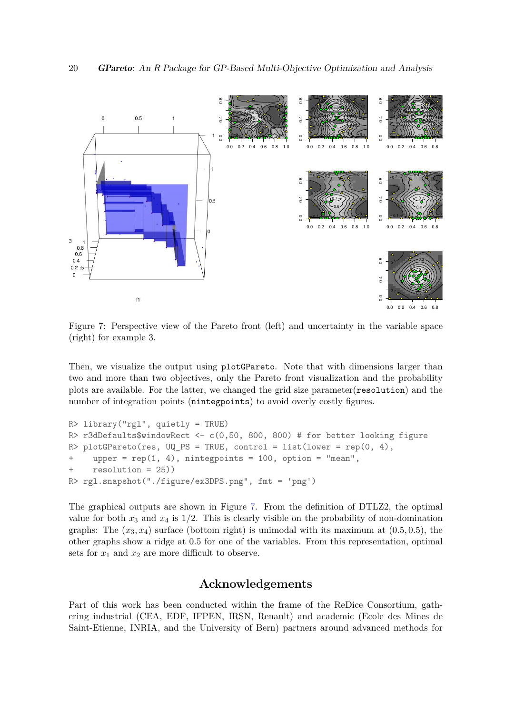<span id="page-19-0"></span>

Figure 7: Perspective view of the Pareto front (left) and uncertainty in the variable space (right) for example 3.

Then, we visualize the output using plotGPareto. Note that with dimensions larger than two and more than two objectives, only the Pareto front visualization and the probability plots are available. For the latter, we changed the grid size parameter(resolution) and the number of integration points (nintegpoints) to avoid overly costly figures.

```
R> library("rgl", quietly = TRUE)
R> r3dDefaults$windowRect <- c(0,50, 800, 800) # for better looking figure
R> plotGPareto(res, UQ_PS = TRUE, control = list(lower = rep(0, 4),
+ upper = rep(1, 4), nintegpoints = 100, option = "mean",
+ resolution = 25))
R> rgl.snapshot("./figure/ex3DPS.png", fmt = 'png')
```
The graphical outputs are shown in Figure [7.](#page-19-0) From the definition of DTLZ2, the optimal value for both  $x_3$  and  $x_4$  is  $1/2$ . This is clearly visible on the probability of non-domination graphs: The  $(x_3, x_4)$  surface (bottom right) is unimodal with its maximum at  $(0.5, 0.5)$ , the other graphs show a ridge at 0*.*5 for one of the variables. From this representation, optimal sets for  $x_1$  and  $x_2$  are more difficult to observe.

# **Acknowledgements**

Part of this work has been conducted within the frame of the ReDice Consortium, gathering industrial (CEA, EDF, IFPEN, IRSN, Renault) and academic (Ecole des Mines de Saint-Etienne, INRIA, and the University of Bern) partners around advanced methods for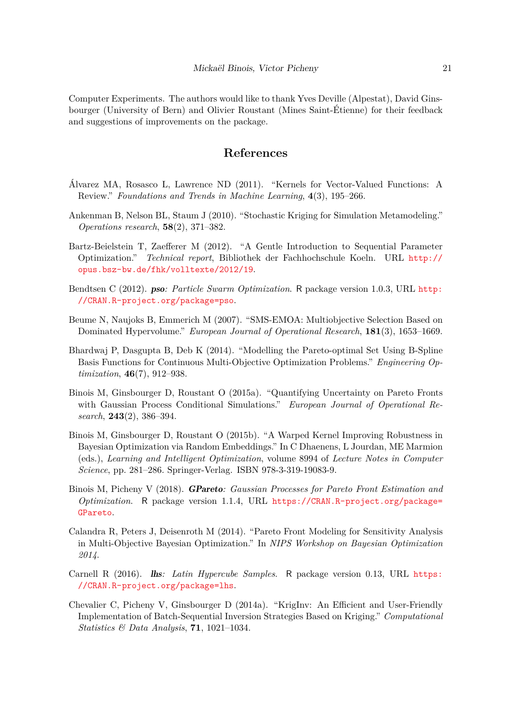Computer Experiments. The authors would like to thank Yves Deville (Alpestat), David Ginsbourger (University of Bern) and Olivier Roustant (Mines Saint-Étienne) for their feedback and suggestions of improvements on the package.

# **References**

- <span id="page-20-7"></span>Álvarez MA, Rosasco L, Lawrence ND (2011). "Kernels for Vector-Valued Functions: A Review." *Foundations and Trends in Machine Learning*, **4**(3), 195–266.
- <span id="page-20-6"></span>Ankenman B, Nelson BL, Staum J (2010). "Stochastic Kriging for Simulation Metamodeling." *Operations research*, **58**(2), 371–382.
- <span id="page-20-0"></span>Bartz-Beielstein T, Zaefferer M (2012). "A Gentle Introduction to Sequential Parameter Optimization." *Technical report*, Bibliothek der Fachhochschule Koeln. URL [http://](http://opus.bsz-bw.de/fhk/volltexte/2012/19) [opus.bsz-bw.de/fhk/volltexte/2012/19](http://opus.bsz-bw.de/fhk/volltexte/2012/19).
- <span id="page-20-8"></span>Bendtsen C (2012). pso*: Particle Swarm Optimization*. R package version 1.0.3, URL [http:](http://CRAN.R-project.org/package=pso) [//CRAN.R-project.org/package=pso](http://CRAN.R-project.org/package=pso).
- Beume N, Naujoks B, Emmerich M (2007). "SMS-EMOA: Multiobjective Selection Based on Dominated Hypervolume." *European Journal of Operational Research*, **181**(3), 1653–1669.
- <span id="page-20-1"></span>Bhardwaj P, Dasgupta B, Deb K (2014). "Modelling the Pareto-optimal Set Using B-Spline Basis Functions for Continuous Multi-Objective Optimization Problems." *Engineering Optimization*, **46**(7), 912–938.
- <span id="page-20-3"></span>Binois M, Ginsbourger D, Roustant O (2015a). "Quantifying Uncertainty on Pareto Fronts with Gaussian Process Conditional Simulations." *European Journal of Operational Research*, **243**(2), 386–394.
- Binois M, Ginsbourger D, Roustant O (2015b). "A Warped Kernel Improving Robustness in Bayesian Optimization via Random Embeddings." In C Dhaenens, L Jourdan, ME Marmion (eds.), *Learning and Intelligent Optimization*, volume 8994 of *Lecture Notes in Computer Science*, pp. 281–286. Springer-Verlag. ISBN 978-3-319-19083-9.
- Binois M, Picheny V (2018). GPareto*: Gaussian Processes for Pareto Front Estimation and Optimization*. R package version 1.1.4, URL [https://CRAN.R-project.org/package=](https://CRAN.R-project.org/package=GPareto) [GPareto](https://CRAN.R-project.org/package=GPareto).
- <span id="page-20-2"></span>Calandra R, Peters J, Deisenroth M (2014). "Pareto Front Modeling for Sensitivity Analysis in Multi-Objective Bayesian Optimization." In *NIPS Workshop on Bayesian Optimization 2014*.
- <span id="page-20-5"></span>Carnell R (2016). lhs*: Latin Hypercube Samples*. R package version 0.13, URL [https:](https://CRAN.R-project.org/package=lhs) [//CRAN.R-project.org/package=lhs](https://CRAN.R-project.org/package=lhs).
- <span id="page-20-4"></span>Chevalier C, Picheny V, Ginsbourger D (2014a). "KrigInv: An Efficient and User-Friendly Implementation of Batch-Sequential Inversion Strategies Based on Kriging." *Computational Statistics & Data Analysis*, **71**, 1021–1034.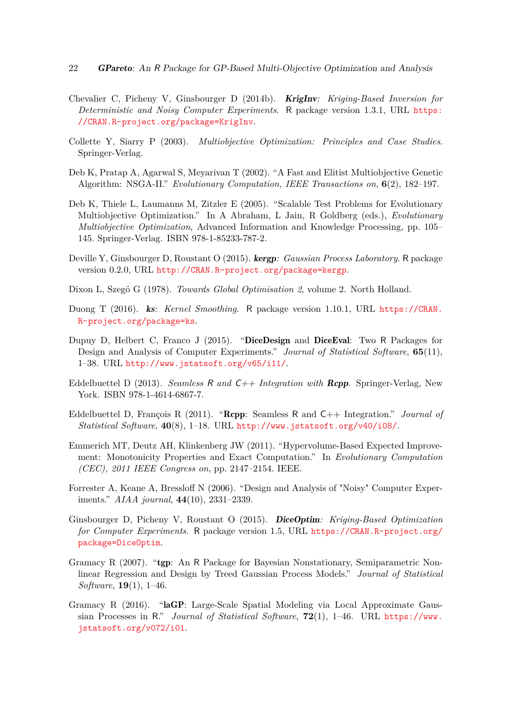- 22 GPareto: An R Package for GP-Based Multi-Objective Optimization and Analysis
- <span id="page-21-5"></span>Chevalier C, Picheny V, Ginsbourger D (2014b). KrigInv*: Kriging-Based Inversion for Deterministic and Noisy Computer Experiments*. R package version 1.3.1, URL [https:](https://CRAN.R-project.org/package=KrigInv) [//CRAN.R-project.org/package=KrigInv](https://CRAN.R-project.org/package=KrigInv).
- <span id="page-21-0"></span>Collette Y, Siarry P (2003). *Multiobjective Optimization: Principles and Case Studies*. Springer-Verlag.
- <span id="page-21-3"></span>Deb K, Pratap A, Agarwal S, Meyarivan T (2002). "A Fast and Elitist Multiobjective Genetic Algorithm: NSGA-II." *Evolutionary Computation, IEEE Transactions on*, **6**(2), 182–197.
- <span id="page-21-10"></span>Deb K, Thiele L, Laumanns M, Zitzler E (2005). "Scalable Test Problems for Evolutionary Multiobjective Optimization." In A Abraham, L Jain, R Goldberg (eds.), *Evolutionary Multiobjective Optimization*, Advanced Information and Knowledge Processing, pp. 105– 145. Springer-Verlag. ISBN 978-1-85233-787-2.
- Deville Y, Ginsbourger D, Roustant O (2015). kergp*: Gaussian Process Laboratory*. R package version 0.2.0, URL <http://CRAN.R-project.org/package=kergp>.
- Dixon L, Szegö G (1978). *Towards Global Optimisation 2*, volume 2. North Holland.
- <span id="page-21-11"></span>Duong T (2016). ks*: Kernel Smoothing*. R package version 1.10.1, URL [https://CRAN.](https://CRAN.R-project.org/package=ks) [R-project.org/package=ks](https://CRAN.R-project.org/package=ks).
- <span id="page-21-6"></span>Dupuy D, Helbert C, Franco J (2015). "DiceDesign and DiceEval: Two R Packages for Design and Analysis of Computer Experiments." *Journal of Statistical Software*, **65**(11), 1–38. URL <http://www.jstatsoft.org/v65/i11/>.
- <span id="page-21-9"></span>Eddelbuettel D (2013). *Seamless* R *and* C++ *Integration with* Rcpp. Springer-Verlag, New York. ISBN 978-1-4614-6867-7.
- <span id="page-21-8"></span>Eddelbuettel D, François R (2011). "Rcpp: Seamless R and C++ Integration." *Journal of Statistical Software*, **40**(8), 1–18. URL <http://www.jstatsoft.org/v40/i08/>.
- <span id="page-21-4"></span>Emmerich MT, Deutz AH, Klinkenberg JW (2011). "Hypervolume-Based Expected Improvement: Monotonicity Properties and Exact Computation." In *Evolutionary Computation (CEC), 2011 IEEE Congress on*, pp. 2147–2154. IEEE.
- <span id="page-21-7"></span>Forrester A, Keane A, Bressloff N (2006). "Design and Analysis of "Noisy" Computer Experiments." *AIAA journal*, **44**(10), 2331–2339.
- <span id="page-21-1"></span>Ginsbourger D, Picheny V, Roustant O (2015). DiceOptim*: Kriging-Based Optimization for Computer Experiments*. R package version 1.5, URL [https://CRAN.R-project.org/](https://CRAN.R-project.org/package=DiceOptim) [package=DiceOptim](https://CRAN.R-project.org/package=DiceOptim).
- <span id="page-21-2"></span>Gramacy R (2007). "tgp: An R Package for Bayesian Nonstationary, Semiparametric Nonlinear Regression and Design by Treed Gaussian Process Models." *Journal of Statistical Software*, **19**(1), 1–46.
- Gramacy R (2016). "laGP: Large-Scale Spatial Modeling via Local Approximate Gaussian Processes in R." *Journal of Statistical Software*, **72**(1), 1–46. URL [https://www.](https://www.jstatsoft.org/v072/i01) [jstatsoft.org/v072/i01](https://www.jstatsoft.org/v072/i01).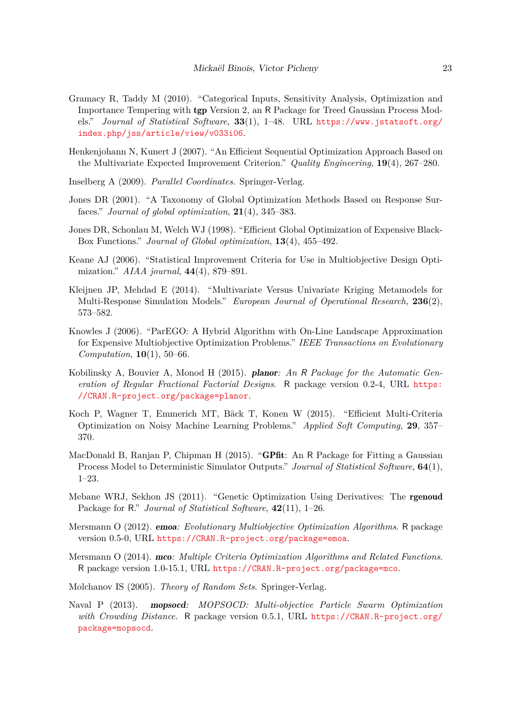- <span id="page-22-2"></span>Gramacy R, Taddy M (2010). "Categorical Inputs, Sensitivity Analysis, Optimization and Importance Tempering with tgp Version 2, an R Package for Treed Gaussian Process Models." *Journal of Statistical Software*, **33**(1), 1–48. URL [https://www.jstatsoft.org/](https://www.jstatsoft.org/index.php/jss/article/view/v033i06) [index.php/jss/article/view/v033i06](https://www.jstatsoft.org/index.php/jss/article/view/v033i06).
- <span id="page-22-9"></span>Henkenjohann N, Kunert J (2007). "An Efficient Sequential Optimization Approach Based on the Multivariate Expected Improvement Criterion." *Quality Engineering*, **19**(4), 267–280.
- <span id="page-22-14"></span>Inselberg A (2009). *Parallel Coordinates*. Springer-Verlag.
- <span id="page-22-1"></span>Jones DR (2001). "A Taxonomy of Global Optimization Methods Based on Response Surfaces." *Journal of global optimization*, **21**(4), 345–383.
- <span id="page-22-0"></span>Jones DR, Schonlau M, Welch WJ (1998). "Efficient Global Optimization of Expensive Black-Box Functions." *Journal of Global optimization*, **13**(4), 455–492.
- <span id="page-22-12"></span>Keane AJ (2006). "Statistical Improvement Criteria for Use in Multiobjective Design Optimization." *AIAA journal*, **44**(4), 879–891.
- <span id="page-22-10"></span>Kleijnen JP, Mehdad E (2014). "Multivariate Versus Univariate Kriging Metamodels for Multi-Response Simulation Models." *European Journal of Operational Research*, **236**(2), 573–582.
- <span id="page-22-8"></span>Knowles J (2006). "ParEGO: A Hybrid Algorithm with On-Line Landscape Approximation for Expensive Multiobjective Optimization Problems." *IEEE Transactions on Evolutionary Computation*, **10**(1), 50–66.
- <span id="page-22-6"></span>Kobilinsky A, Bouvier A, Monod H (2015). planor*: An* R *Package for the Automatic Generation of Regular Fractional Factorial Designs*. R package version 0.2-4, URL [https:](https://CRAN.R-project.org/package=planor) [//CRAN.R-project.org/package=planor](https://CRAN.R-project.org/package=planor).
- <span id="page-22-7"></span>Koch P, Wagner T, Emmerich MT, Bäck T, Konen W (2015). "Efficient Multi-Criteria Optimization on Noisy Machine Learning Problems." *Applied Soft Computing*, **29**, 357– 370.
- MacDonald B, Ranjan P, Chipman H (2015). "GPfit: An R Package for Fitting a Gaussian Process Model to Deterministic Simulator Outputs." *Journal of Statistical Software*, **64**(1), 1–23.
- <span id="page-22-13"></span>Mebane WRJ, Sekhon JS (2011). "Genetic Optimization Using Derivatives: The rgenoud Package for R." *Journal of Statistical Software*, **42**(11), 1–26.
- <span id="page-22-3"></span>Mersmann O (2012). emoa*: Evolutionary Multiobjective Optimization Algorithms*. R package version 0.5-0, URL <https://CRAN.R-project.org/package=emoa>.
- <span id="page-22-5"></span>Mersmann O (2014). mco*: Multiple Criteria Optimization Algorithms and Related Functions*. R package version 1.0-15.1, URL <https://CRAN.R-project.org/package=mco>.
- <span id="page-22-11"></span>Molchanov IS (2005). *Theory of Random Sets*. Springer-Verlag.
- <span id="page-22-4"></span>Naval P (2013). mopsocd*: MOPSOCD: Multi-objective Particle Swarm Optimization with Crowding Distance*. R package version 0.5.1, URL [https://CRAN.R-project.org/](https://CRAN.R-project.org/package=mopsocd) [package=mopsocd](https://CRAN.R-project.org/package=mopsocd).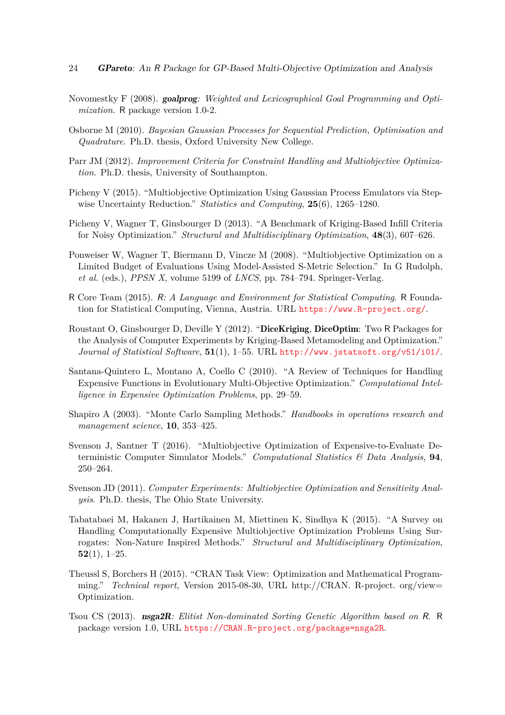- <span id="page-23-5"></span>Novomestky F (2008). goalprog*: Weighted and Lexicographical Goal Programming and Optimization*. R package version 1.0-2.
- <span id="page-23-14"></span>Osborne M (2010). *Bayesian Gaussian Processes for Sequential Prediction, Optimisation and Quadrature*. Ph.D. thesis, Oxford University New College.
- <span id="page-23-13"></span>Parr JM (2012). *Improvement Criteria for Constraint Handling and Multiobjective Optimization*. Ph.D. thesis, University of Southampton.
- <span id="page-23-8"></span>Picheny V (2015). "Multiobjective Optimization Using Gaussian Process Emulators via Stepwise Uncertainty Reduction." *Statistics and Computing*, **25**(6), 1265–1280.
- <span id="page-23-9"></span>Picheny V, Wagner T, Ginsbourger D (2013). "A Benchmark of Kriging-Based Infill Criteria for Noisy Optimization." *Structural and Multidisciplinary Optimization*, **48**(3), 607–626.
- <span id="page-23-6"></span>Ponweiser W, Wagner T, Biermann D, Vincze M (2008). "Multiobjective Optimization on a Limited Budget of Evaluations Using Model-Assisted S-Metric Selection." In G Rudolph, *et al.* (eds.), *PPSN X*, volume 5199 of *LNCS*, pp. 784–794. Springer-Verlag.
- <span id="page-23-11"></span>R Core Team (2015). R*: A Language and Environment for Statistical Computing*. R Foundation for Statistical Computing, Vienna, Austria. URL <https://www.R-project.org/>.
- <span id="page-23-3"></span>Roustant O, Ginsbourger D, Deville Y (2012). "DiceKriging, DiceOptim: Two R Packages for the Analysis of Computer Experiments by Kriging-Based Metamodeling and Optimization." *Journal of Statistical Software*, **51**(1), 1–55. URL <http://www.jstatsoft.org/v51/i01/>.
- <span id="page-23-0"></span>Santana-Quintero L, Montano A, Coello C (2010). "A Review of Techniques for Handling Expensive Functions in Evolutionary Multi-Objective Optimization." *Computational Intelligence in Expensive Optimization Problems*, pp. 29–59.
- <span id="page-23-12"></span>Shapiro A (2003). "Monte Carlo Sampling Methods." *Handbooks in operations research and management science*, **10**, 353–425.
- <span id="page-23-10"></span>Svenson J, Santner T (2016). "Multiobjective Optimization of Expensive-to-Evaluate Deterministic Computer Simulator Models." *Computational Statistics & Data Analysis*, **94**, 250–264.
- <span id="page-23-7"></span>Svenson JD (2011). *Computer Experiments: Multiobjective Optimization and Sensitivity Analysis*. Ph.D. thesis, The Ohio State University.
- <span id="page-23-1"></span>Tabatabaei M, Hakanen J, Hartikainen M, Miettinen K, Sindhya K (2015). "A Survey on Handling Computationally Expensive Multiobjective Optimization Problems Using Surrogates: Non-Nature Inspired Methods." *Structural and Multidisciplinary Optimization*, **52**(1), 1–25.
- <span id="page-23-2"></span>Theussl S, Borchers H (2015). "CRAN Task View: Optimization and Mathematical Programming." *Technical report*, Version 2015-08-30, URL http://CRAN. R-project. org/view= Optimization.
- <span id="page-23-4"></span>Tsou CS (2013). nsga2R*: Elitist Non-dominated Sorting Genetic Algorithm based on* R. R package version 1.0, URL <https://CRAN.R-project.org/package=nsga2R>.